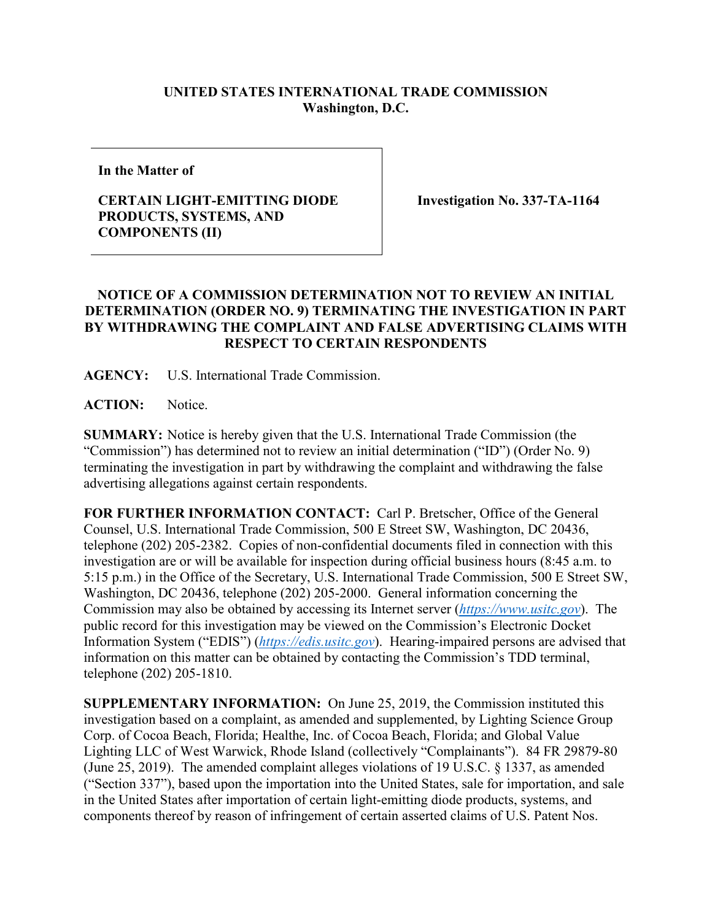## **UNITED STATES INTERNATIONAL TRADE COMMISSION Washington, D.C.**

**In the Matter of**

## **CERTAIN LIGHT-EMITTING DIODE PRODUCTS, SYSTEMS, AND COMPONENTS (II)**

**Investigation No. 337-TA-1164**

## **NOTICE OF A COMMISSION DETERMINATION NOT TO REVIEW AN INITIAL DETERMINATION (ORDER NO. 9) TERMINATING THE INVESTIGATION IN PART BY WITHDRAWING THE COMPLAINT AND FALSE ADVERTISING CLAIMS WITH RESPECT TO CERTAIN RESPONDENTS**

**AGENCY:** U.S. International Trade Commission.

**ACTION:** Notice.

**SUMMARY:** Notice is hereby given that the U.S. International Trade Commission (the "Commission") has determined not to review an initial determination ("ID") (Order No. 9) terminating the investigation in part by withdrawing the complaint and withdrawing the false advertising allegations against certain respondents.

**FOR FURTHER INFORMATION CONTACT:** Carl P. Bretscher, Office of the General Counsel, U.S. International Trade Commission, 500 E Street SW, Washington, DC 20436, telephone (202) 205-2382. Copies of non-confidential documents filed in connection with this investigation are or will be available for inspection during official business hours (8:45 a.m. to 5:15 p.m.) in the Office of the Secretary, U.S. International Trade Commission, 500 E Street SW, Washington, DC 20436, telephone (202) 205-2000. General information concerning the Commission may also be obtained by accessing its Internet server (*[https://www.usitc.gov](https://www.usitc.gov/)*). The public record for this investigation may be viewed on the Commission's Electronic Docket Information System ("EDIS") (*[https://edis.usitc.gov](https://edis.usitc.gov/)*). Hearing-impaired persons are advised that information on this matter can be obtained by contacting the Commission's TDD terminal, telephone (202) 205-1810.

**SUPPLEMENTARY INFORMATION:** On June 25, 2019, the Commission instituted this investigation based on a complaint, as amended and supplemented, by Lighting Science Group Corp. of Cocoa Beach, Florida; Healthe, Inc. of Cocoa Beach, Florida; and Global Value Lighting LLC of West Warwick, Rhode Island (collectively "Complainants"). 84 FR 29879-80 (June 25, 2019). The amended complaint alleges violations of 19 U.S.C. § 1337, as amended ("Section 337"), based upon the importation into the United States, sale for importation, and sale in the United States after importation of certain light-emitting diode products, systems, and components thereof by reason of infringement of certain asserted claims of U.S. Patent Nos.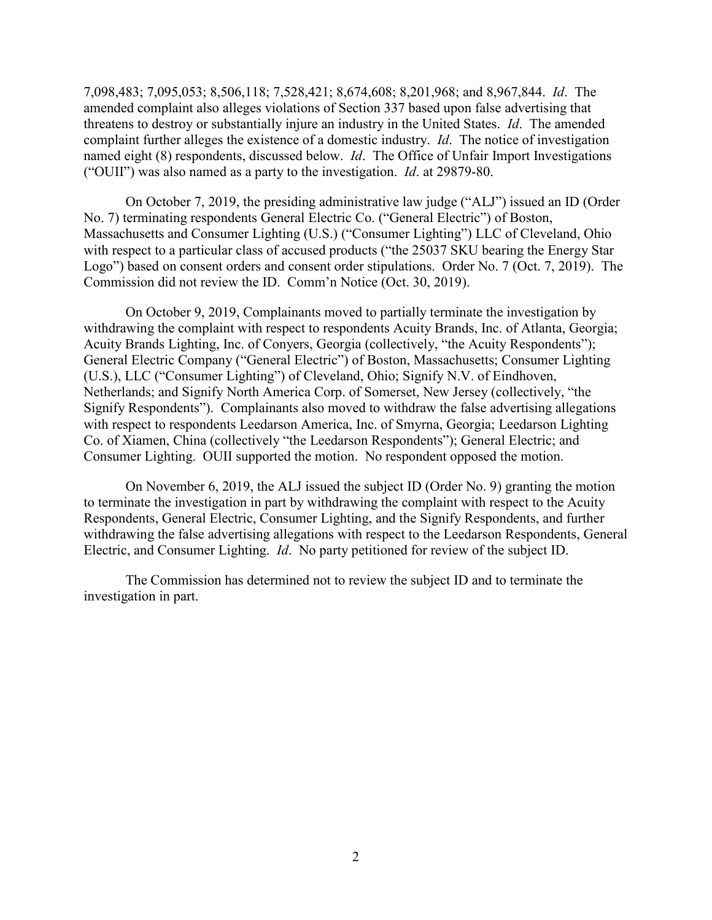7,098,483; 7,095,053; 8,506,118; 7,528,421; 8,674,608; 8,201,968; and 8,967,844. *Id*. The amended complaint also alleges violations of Section 337 based upon false advertising that threatens to destroy or substantially injure an industry in the United States. *Id*. The amended complaint further alleges the existence of a domestic industry. *Id*. The notice of investigation named eight (8) respondents, discussed below. *Id*. The Office of Unfair Import Investigations ("OUII") was also named as a party to the investigation. *Id*. at 29879-80.

On October 7, 2019, the presiding administrative law judge ("ALJ") issued an ID (Order No. 7) terminating respondents General Electric Co. ("General Electric") of Boston, Massachusetts and Consumer Lighting (U.S.) ("Consumer Lighting") LLC of Cleveland, Ohio with respect to a particular class of accused products ("the 25037 SKU bearing the Energy Star Logo") based on consent orders and consent order stipulations. Order No. 7 (Oct. 7, 2019). The Commission did not review the ID. Comm'n Notice (Oct. 30, 2019).

On October 9, 2019, Complainants moved to partially terminate the investigation by withdrawing the complaint with respect to respondents Acuity Brands, Inc. of Atlanta, Georgia; Acuity Brands Lighting, Inc. of Conyers, Georgia (collectively, "the Acuity Respondents"); General Electric Company ("General Electric") of Boston, Massachusetts; Consumer Lighting (U.S.), LLC ("Consumer Lighting") of Cleveland, Ohio; Signify N.V. of Eindhoven, Netherlands; and Signify North America Corp. of Somerset, New Jersey (collectively, "the Signify Respondents"). Complainants also moved to withdraw the false advertising allegations with respect to respondents Leedarson America, Inc. of Smyrna, Georgia; Leedarson Lighting Co. of Xiamen, China (collectively "the Leedarson Respondents"); General Electric; and Consumer Lighting. OUII supported the motion. No respondent opposed the motion.

On November 6, 2019, the ALJ issued the subject ID (Order No. 9) granting the motion to terminate the investigation in part by withdrawing the complaint with respect to the Acuity Respondents, General Electric, Consumer Lighting, and the Signify Respondents, and further withdrawing the false advertising allegations with respect to the Leedarson Respondents, General Electric, and Consumer Lighting. *Id*. No party petitioned for review of the subject ID.

The Commission has determined not to review the subject ID and to terminate the investigation in part.